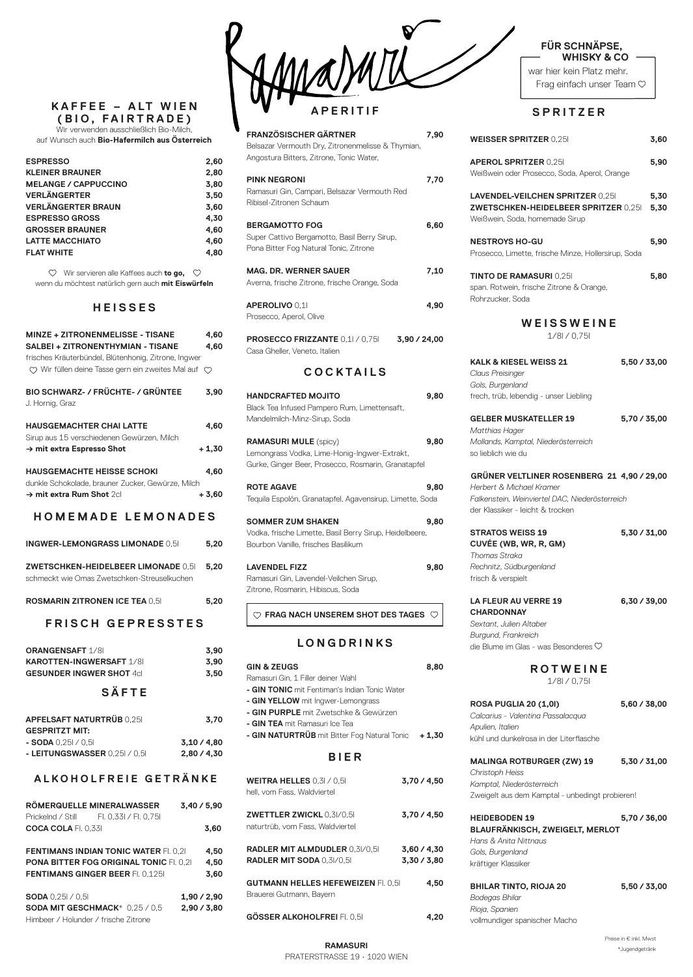### **K A F F E E – A LT W I E N (BIO, FAIRTRADE)**

Wir verwenden ausschließlich Bio-Milch, auf Wunsch auch **Bio-Hafermilch aus Österreich**

| <b>ESPRESSO</b>             | 2,60 |
|-----------------------------|------|
| <b>KLEINER BRAUNER</b>      | 2,80 |
| <b>MELANGE / CAPPUCCINO</b> | 3,80 |
| <b>VERLÄNGERTER</b>         | 3,50 |
| <b>VERLÄNGERTER BRAUN</b>   | 3,60 |
| <b>ESPRESSO GROSS</b>       | 4.30 |
| <b>GROSSER BRAUNER</b>      | 4.60 |
| <b>LATTE MACCHIATO</b>      | 4.60 |
| <b>FLAT WHITE</b>           | 4.80 |
|                             |      |

Wir servieren alle Kaffees auch **to go,**  wenn du möchtest natürlich gern auch **mit Eiswürfeln**

## **HEISSES**

| <b>MINZE + ZITRONENMELISSE - TISANE</b><br>SALBEI + ZITRONENTHYMIAN - TISANE<br>frisches Kräuterbündel, Blütenhonig, Zitrone, Ingwer<br>$\heartsuit$ Wir füllen deine Tasse gern ein zweites Mal auf $\heartsuit$ | 4,60<br>4,60 |
|-------------------------------------------------------------------------------------------------------------------------------------------------------------------------------------------------------------------|--------------|
| BIO SCHWARZ- / FRÜCHTE- / GRÜNTEE<br>J. Hornig, Graz                                                                                                                                                              | 3,90         |
| <b>HAUSGEMACHTER CHAI LATTE</b>                                                                                                                                                                                   | 4,60         |
| Sirup aus 15 verschiedenen Gewürzen, Milch<br>→ mit extra Espresso Shot                                                                                                                                           | $+1,30$      |
| <b>HAUSGEMACHTE HEISSE SCHOKI</b>                                                                                                                                                                                 | 4,60         |
| dunkle Schokolade, brauner Zucker, Gewürze, Milch<br>→ mit extra Rum Shot 2cl                                                                                                                                     | $+3,60$      |
| HOMEMADE LEMONADES                                                                                                                                                                                                |              |
| <b>INGWER-LEMONGRASS LIMONADE 0,51</b>                                                                                                                                                                            | 5,20         |
| ZWETSCHKEN-HEIDELBEER LIMONADE 0,51<br>schmeckt wie Omas Zwetschken-Streuselkuchen                                                                                                                                | 5,20         |
| <b>ROSMARIN ZITRONEN ICE TEA 0,51</b>                                                                                                                                                                             | 5,20         |
| <b>FRISCH GEPRESSTES</b>                                                                                                                                                                                          |              |

war hier kein Platz mehr. Frag einfach unser Team  $\heartsuit$ 

| <b>ORANGENSAFT 1/81</b>         | 3.90 |
|---------------------------------|------|
| <b>KAROTTEN-INGWERSAFT 1/81</b> | 3.90 |
| <b>GESUNDER INGWER SHOT 4cl</b> | 3.50 |

# **SÄFTE**

| <b>APFELSAFT NATURTRÜB 0.251</b> | 3,70 |
|----------------------------------|------|
| AFABBITTT LUT.                   |      |

**- SODA** 0,25l / 0,5l **3,10 / 4,80 - LEITUNGSWASSER** 0,25l / 0,5l **2,80 / 4,30**

**ALKOHOLFREIE GETRÄNKE**

|                            | <b>ROMERQUELLE MINERALWASSER</b> | 3,40/5,90 |
|----------------------------|----------------------------------|-----------|
| Prickelnd / Still          | FI. 0.33I / FI. 0.75I            |           |
| <b>COCA COLA</b> FI. 0.331 |                                  | 3.60      |

| <b>FENTIMANS INDIAN TONIC WATER FI. 0,21</b>   | 4.50        |
|------------------------------------------------|-------------|
| <b>PONA BITTER FOG ORIGINAL TONIC FI. 0.21</b> | 4.50        |
| <b>FENTIMANS GINGER BEER FL 0.125</b>          | 3.60        |
| <b>SODA</b> $0,251 / 0.51$                     | 1.90 / 2.90 |
| SODA MIT GESCHMACK* 0.25 / 0.5                 | 2,90/3,80   |

Himbeer / Holunder / frische Zitrone

#### **RAMASURI** PRATERSTRASSE 19 • 1020 WIEN

Preise in € inkl. Mwst \*Jugendgetränk

### **FÜR SCHNÄPSE, WHISKY & CO**



| <b>FRANZÖSISCHER GÄRTNER</b><br>Belsazar Vermouth Dry, Zitronenmelisse & Thymian,<br>Angostura Bitters, Zitrone, Tonic Water, | 7,90 |
|-------------------------------------------------------------------------------------------------------------------------------|------|
| <b>PINK NEGRONI</b><br>Ramasuri Gin, Campari, Belsazar Vermouth Red<br>Ribisel-Zitronen Schaum                                | 7,70 |
| <b>BERGAMOTTO FOG</b><br>Super Cattivo Bergamotto, Basil Berry Sirup,<br>Pona Bitter Fog Natural Tonic, Zitrone               | 6,60 |
| <b>MAG. DR. WERNER SAUER</b><br>Averna, frische Zitrone, frische Orange, Soda                                                 | 7.10 |
| <b>APEROLIVO 0,11</b><br>Prosecco, Aperol, Olive                                                                              | 4,90 |
| <b>PROSECCO FRIZZANTE</b> 0,1l / 0,75l<br>3,90 / 24,00<br>Casa Gheller, Veneto, Italien                                       |      |

**MALINGA ROTBURGER (ZW) 19 5,30 / 31,00** *Christoph Heiss Kamptal, Niederösterreich* Zweigelt aus dem Kamptal - unbedingt probieren!

## **COCKTAILS**

| <b>HANDCRAFTED MOJITO</b>                                | 9,80 |
|----------------------------------------------------------|------|
| Black Tea Infused Pampero Rum, Limettensaft,             |      |
| Mandelmilch-Minz-Sirup, Soda                             |      |
| <b>RAMASURI MULE</b> (spicy)                             | 9,80 |
| Lemongrass Vodka, Lime-Honig-Ingwer-Extrakt,             |      |
| Gurke, Ginger Beer, Prosecco, Rosmarin, Granatapfel      |      |
| <b>ROTE AGAVE</b>                                        | 9,80 |
| Tequila Espolón, Granatapfel, Agavensirup, Limette, Soda |      |
| <b>SOMMER ZUM SHAKEN</b>                                 | 9,80 |
| Vodka, frische Limette, Basil Berry Sirup, Heidelbeere,  |      |
| Bourbon Vanille, frisches Basilikum                      |      |
| <b>LAVENDEL FIZZ</b>                                     | 9,80 |
| Ramasuri Gin, Lavendel-Veilchen Sirup,                   |      |
| Zitrone, Rosmarin, Hibiscus, Soda                        |      |
| FRAG NACH UNSEREM SHOT DES TAGES                         |      |
|                                                          |      |

# **LONGDRINKS**

| <b>GIN &amp; ZEUGS</b>                               | 8.80 |
|------------------------------------------------------|------|
| Ramasuri Gin, 1 Filler deiner Wahl                   |      |
| <b>- GIN TONIC</b> mit Fentiman's Indian Tonic Water |      |
| - GIN YELLOW mit Ingwer-Lemongrass                   |      |
| <b>- GIN PURPLE</b> mit Zwetschke & Gewürzen         |      |
| - GIN TEA mit Ramasuri Ice Tea                       |      |

**- GIN NATURTRÜB** mit Bitter Fog Natural Tonic **+ 1,30**

**BIER**

**WEITRA HELLES** 0,3l / 0,5l **3,70 / 4,50** hell, vom Fass, Waldviertel

**ZWETTLER ZWICKL** 0,3l/0,5l **3,70 / 4,50** naturtrüb, vom Fass, Waldviertel

**RADLER MIT ALMDUDLER** 0,3l/0,5l **3,60 / 4,30 RADLER MIT SODA** 0,3l/0,5l **3,30 / 3,80**

**GUTMANN HELLES HEFEWEIZEN** Fl. 0,5l **4,50** Brauerei Gutmann, Bayern

**GÖSSER ALKOHOLFREI** Fl. 0,5l **4,20**

# **SPRITZER**

| <b>WEISSER SPRITZER 0,251</b>                                                                                                                                | 3,60         |
|--------------------------------------------------------------------------------------------------------------------------------------------------------------|--------------|
| <b>APEROL SPRITZER 0,251</b><br>Weißwein oder Prosecco, Soda, Aperol, Orange                                                                                 | 5,90         |
| <b>LAVENDEL-VEILCHEN SPRITZER 0,251</b><br><b>ZWETSCHKEN-HEIDELBEER SPRITZER 0,251</b><br>Weißwein, Soda, homemade Sirup                                     | 5,30<br>5,30 |
| <b>NESTROYS HO-GU</b><br>Prosecco, Limette, frische Minze, Hollersirup, Soda                                                                                 | 5,90         |
| <b>TINTO DE RAMASURI 0,251</b><br>span. Rotwein, frische Zitrone & Orange,<br>Rohrzucker, Soda                                                               | 5,80         |
| WEISSWEINE<br>1/81/0,751                                                                                                                                     |              |
| <b>KALK &amp; KIESEL WEISS 21</b><br><b>Claus Preisinger</b><br>Gols, Burgenland<br>frech, trüb, lebendig - unser Liebling                                   | 5,50 / 33,00 |
| <b>GELBER MUSKATELLER 19</b><br>Matthias Hager<br>Mollands, Kamptal, Niederösterreich<br>so lieblich wie du                                                  | 5,70 / 35,00 |
| GRÜNER VELTLINER ROSENBERG 21 4,90 / 29,00<br>Herbert & Michael Kramer<br>Falkenstein, Weinviertel DAC, Niederösterreich<br>der Klassiker - leicht & trocken |              |
| <b>STRATOS WEISS 19</b><br>CUVÉE (WB, WR, R, GM)<br>Thomas Straka<br>Rechnitz, Südburgenland<br>frisch & verspielt                                           | 5,30 / 31,00 |
| <b>LA FLEUR AU VERRE 19</b><br><b>CHARDONNAY</b><br>Sextant, Julien Altaber<br>Burgund, Frankreich<br>die Blume im Glas - was Besonderes $\heartsuit$        | 6,30/39,00   |

**ROTWEINE** 1/8l / 0,75l

**ROSA PUGLIA 20 (1,0l) 5,60 / 38,00** *Calcarius - Valentina Passalacqua Apulien, Italien*

GESPRITZT MIT:

kühl und dunkelrosa in der Literflasche

**HEIDEBODEN 19 5,70 / 36,00 BLAUFRÄNKISCH, ZWEIGELT, MERLOT** *Hans & Anita Nittnaus Gols, Burgenland* kräftiger Klassiker **BHILAR TINTO, RIOJA 20 5,50 / 33,00** *Bodegas Bhilar Rioja, Spanien*

vollmundiger spanischer Macho